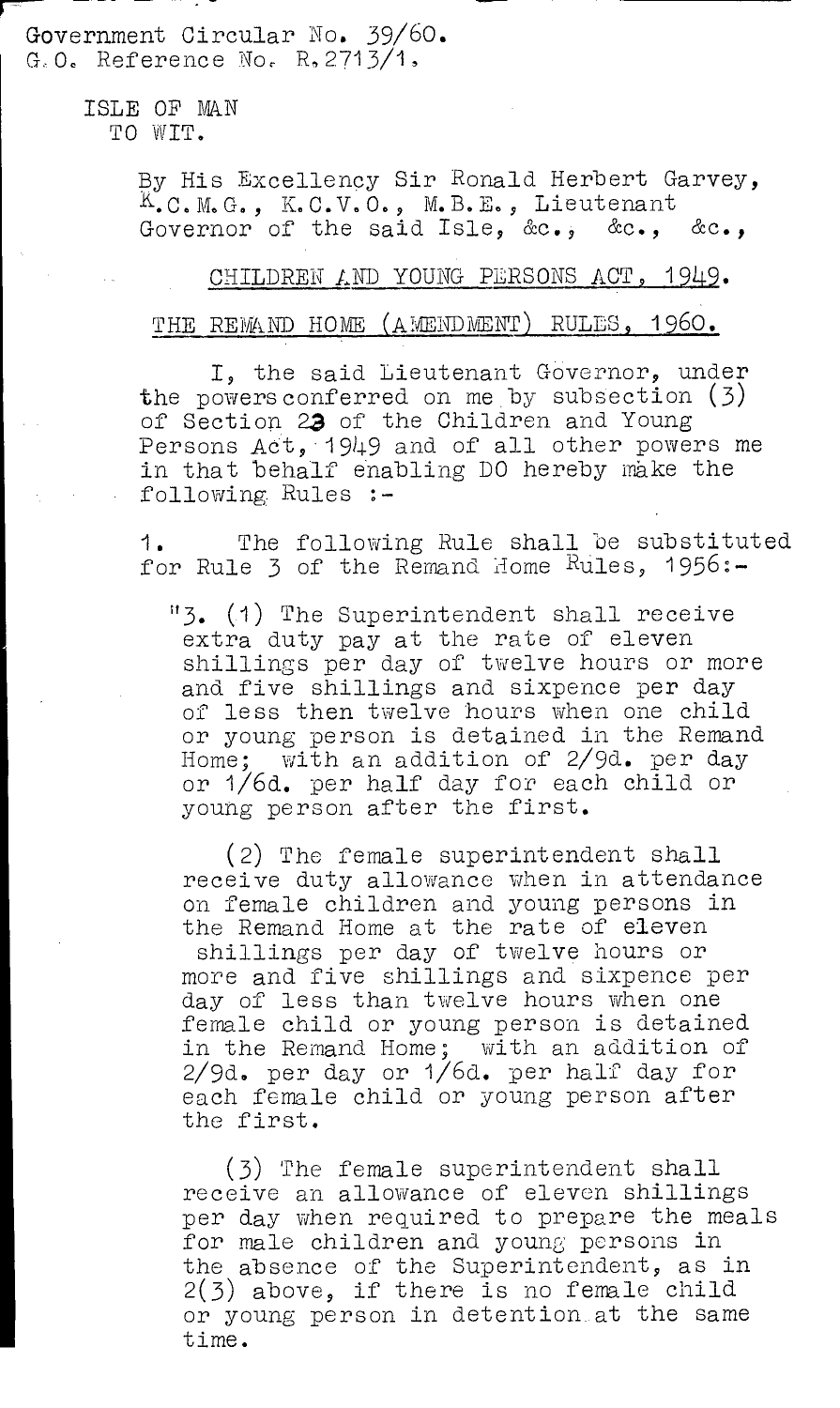Government Circular No. 39/60.  $G, O$ . Reference No. R. 2713/1,

> ISLE OF NAN TO WIT.

> > By His Excellency Sir Ronald Herbert Garvey, K.C.V.O., M.B.E., Lieutenant Governor of the said Isle, &c., &c., &c.,

## CHILDREN AND YOUNG PERSONS ACT , 1949.

## THE REMAND HOME (AMENDMENT) RULES, 1960.

I, the said Lieutenant Governor, under the powers conferred on me by subsection  $(3)$ of Section 23 of the Children and Young Persons Act, 1949 and of all other powers me in that behalf enabling DO hereby make the following Rules :-

1. The following Rule shall be substituted for Rule 3 of the Remand Home Rules, 1956:-

"3. (1) The Superintendent shall receive extra duty pay at the rate of eleven shillings per day of twelve hours or more and five shillings and sixpence per day of less then twelve hours when one child or young person is detained in the Remand Home; with an addition of 2/9d. per day or I/6d. per half day for each child or young person after the first.

(2) The female superintendent shall receive duty allowance when in attendance on female children and young persons in the Remand Home at the rate of eleven shillings per day of twelve hours or

more and five shillings and sixpence per day of less than twelve hours when one female child or young person is detained in the Remand Home; with an addition of 2/9d. per day or 1/6d. per half day for each female child or young person after the first.

(3) The female superintendent shall receive an allowance of eleven shillings per day when required to prepare the meals for male children and young persons in the absence of the Superintendent, as in 2(3) above, if there is no female child or young person in detention at the same time.